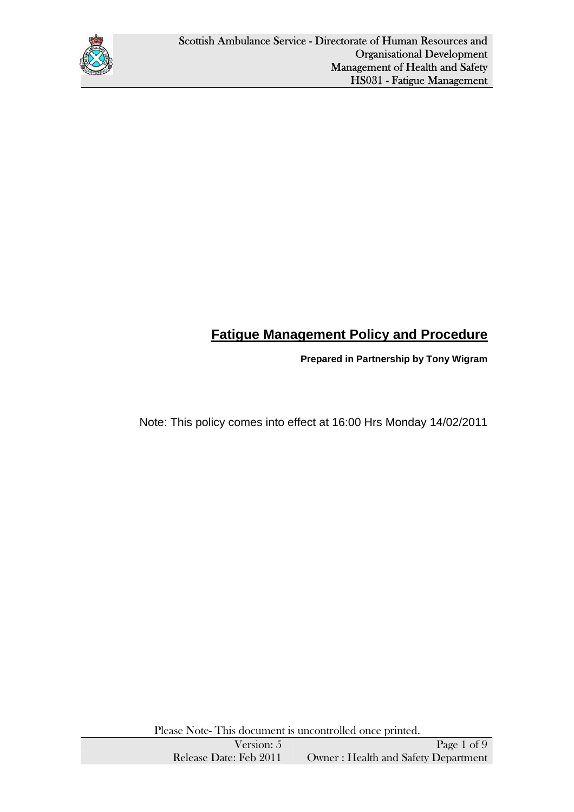

# **Fatigue Management Policy and Procedure**

**Prepared in Partnership by Tony Wigram** 

Note: This policy comes into effect at 16:00 Hrs Monday 14/02/2011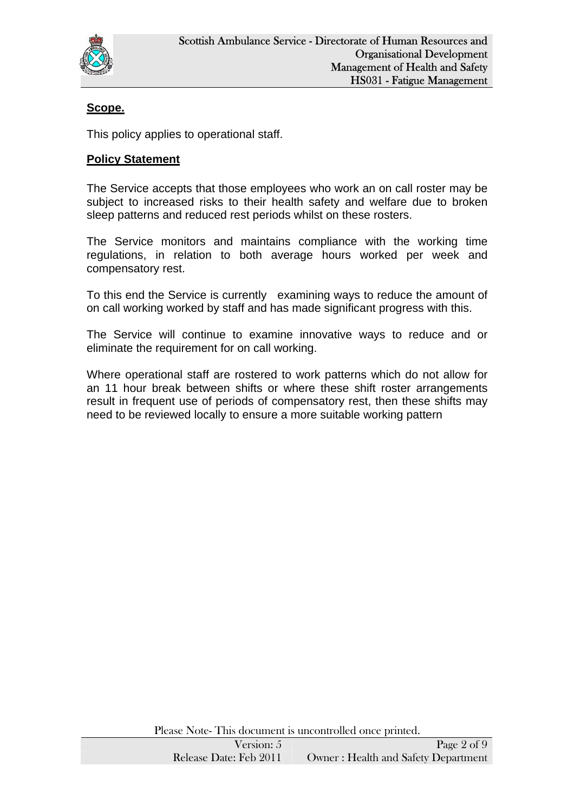

# **Scope.**

This policy applies to operational staff.

#### **Policy Statement**

The Service accepts that those employees who work an on call roster may be subject to increased risks to their health safety and welfare due to broken sleep patterns and reduced rest periods whilst on these rosters.

The Service monitors and maintains compliance with the working time regulations, in relation to both average hours worked per week and compensatory rest.

To this end the Service is currently examining ways to reduce the amount of on call working worked by staff and has made significant progress with this.

The Service will continue to examine innovative ways to reduce and or eliminate the requirement for on call working.

Where operational staff are rostered to work patterns which do not allow for an 11 hour break between shifts or where these shift roster arrangements result in frequent use of periods of compensatory rest, then these shifts may need to be reviewed locally to ensure a more suitable working pattern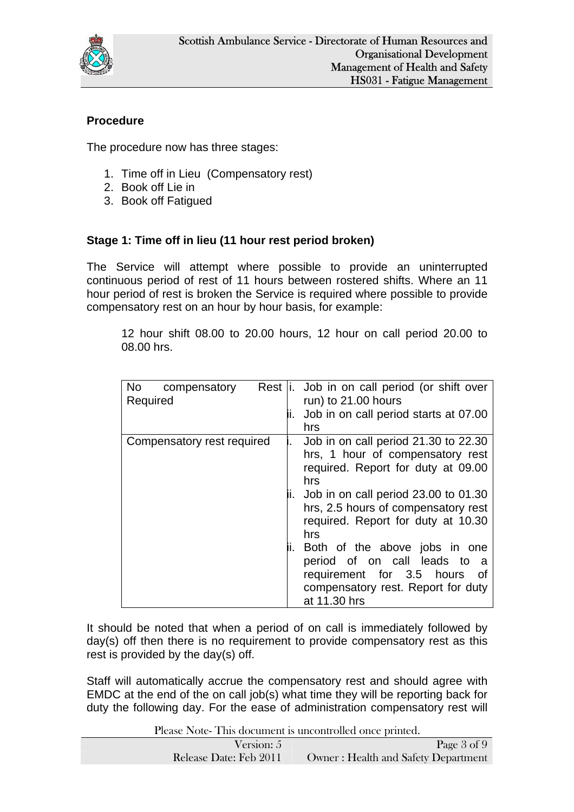

# **Procedure**

The procedure now has three stages:

- 1. Time off in Lieu (Compensatory rest)
- 2. Book off Lie in
- 3. Book off Fatigued

### **Stage 1: Time off in lieu (11 hour rest period broken)**

The Service will attempt where possible to provide an uninterrupted continuous period of rest of 11 hours between rostered shifts. Where an 11 hour period of rest is broken the Service is required where possible to provide compensatory rest on an hour by hour basis, for example:

12 hour shift 08.00 to 20.00 hours, 12 hour on call period 20.00 to 08.00 hrs.

| <b>No</b><br>compensatory<br>Required | Rest   i. Job in on call period (or shift over<br>run) to 21.00 hours<br>Job in on call period starts at 07.00<br>hrs                                                                                                                                                                                                                                                                                    |
|---------------------------------------|----------------------------------------------------------------------------------------------------------------------------------------------------------------------------------------------------------------------------------------------------------------------------------------------------------------------------------------------------------------------------------------------------------|
| Compensatory rest required            | Job in on call period 21.30 to 22.30<br>hrs, 1 hour of compensatory rest<br>required. Report for duty at 09.00<br>hrs<br>Job in on call period 23.00 to 01.30<br>hrs, 2.5 hours of compensatory rest<br>required. Report for duty at 10.30<br>hrs<br>Both of the above jobs in one<br>period of on call leads to a<br>requirement for 3.5 hours of<br>compensatory rest. Report for duty<br>at 11.30 hrs |

It should be noted that when a period of on call is immediately followed by day(s) off then there is no requirement to provide compensatory rest as this rest is provided by the day(s) off.

Staff will automatically accrue the compensatory rest and should agree with EMDC at the end of the on call job(s) what time they will be reporting back for duty the following day. For the ease of administration compensatory rest will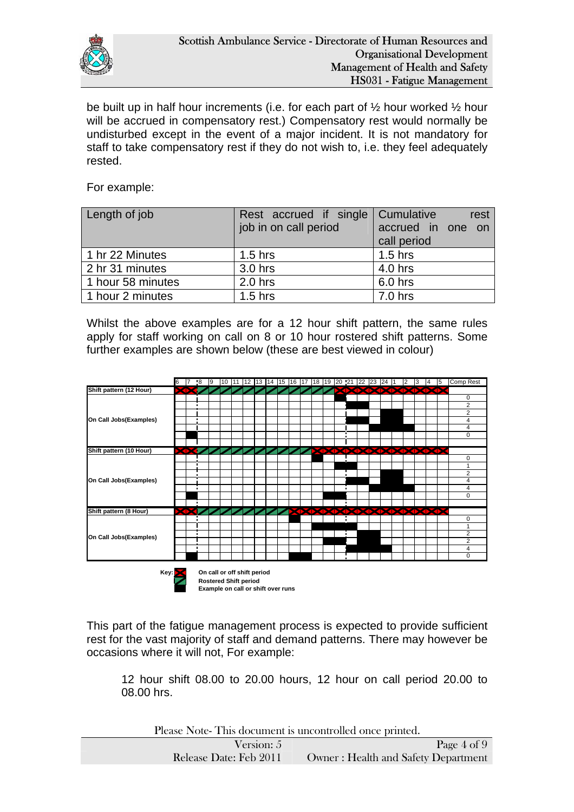

be built up in half hour increments (i.e. for each part of ½ hour worked ½ hour will be accrued in compensatory rest.) Compensatory rest would normally be undisturbed except in the event of a major incident. It is not mandatory for staff to take compensatory rest if they do not wish to, i.e. they feel adequately rested.

For example:

| Length of job     | Rest accrued if single Cumulative | rest              |
|-------------------|-----------------------------------|-------------------|
|                   | job in on call period             | accrued in one on |
|                   |                                   | call period       |
| 1 hr 22 Minutes   | $1.5$ hrs                         | $1.5$ hrs         |
| 2 hr 31 minutes   | 3.0 hrs                           | 4.0 hrs           |
| 1 hour 58 minutes | $2.0$ hrs                         | 6.0 hrs           |
| 1 hour 2 minutes  | $1.5$ hrs                         | $7.0$ hrs         |

Whilst the above examples are for a 12 hour shift pattern, the same rules apply for staff working on call on 8 or 10 hour rostered shift patterns. Some further examples are shown below (these are best viewed in colour)



This part of the fatigue management process is expected to provide sufficient rest for the vast majority of staff and demand patterns. There may however be occasions where it will not, For example:

12 hour shift 08.00 to 20.00 hours, 12 hour on call period 20.00 to 08.00 hrs.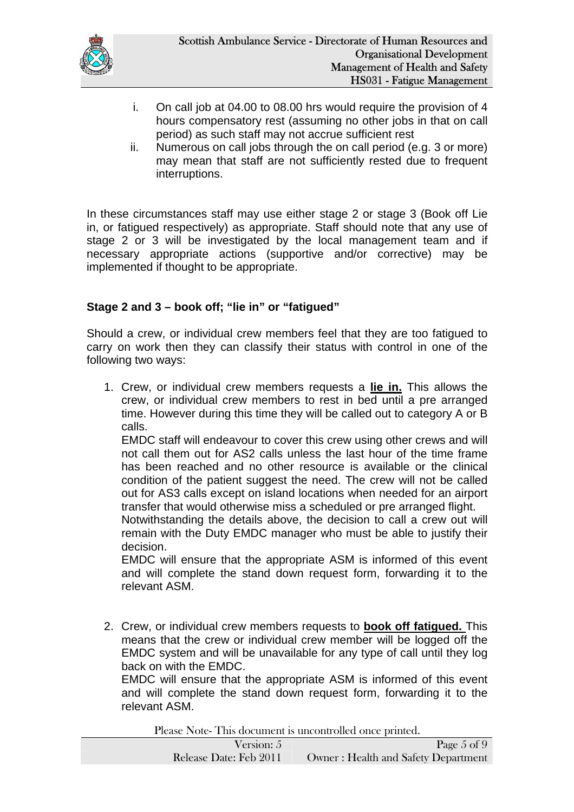

- i. On call job at 04.00 to 08.00 hrs would require the provision of 4 hours compensatory rest (assuming no other jobs in that on call period) as such staff may not accrue sufficient rest
- ii. Numerous on call jobs through the on call period (e.g. 3 or more) may mean that staff are not sufficiently rested due to frequent interruptions.

In these circumstances staff may use either stage 2 or stage 3 (Book off Lie in, or fatigued respectively) as appropriate. Staff should note that any use of stage 2 or 3 will be investigated by the local management team and if necessary appropriate actions (supportive and/or corrective) may be implemented if thought to be appropriate.

### **Stage 2 and 3 – book off; "lie in" or "fatigued"**

Should a crew, or individual crew members feel that they are too fatigued to carry on work then they can classify their status with control in one of the following two ways:

1. Crew, or individual crew members requests a **lie in.** This allows the crew, or individual crew members to rest in bed until a pre arranged time. However during this time they will be called out to category A or B calls.

EMDC staff will endeavour to cover this crew using other crews and will not call them out for AS2 calls unless the last hour of the time frame has been reached and no other resource is available or the clinical condition of the patient suggest the need. The crew will not be called out for AS3 calls except on island locations when needed for an airport transfer that would otherwise miss a scheduled or pre arranged flight.

Notwithstanding the details above, the decision to call a crew out will remain with the Duty EMDC manager who must be able to justify their decision.

EMDC will ensure that the appropriate ASM is informed of this event and will complete the stand down request form, forwarding it to the relevant ASM.

2. Crew, or individual crew members requests to **book off fatigued.** This means that the crew or individual crew member will be logged off the EMDC system and will be unavailable for any type of call until they log back on with the EMDC.

EMDC will ensure that the appropriate ASM is informed of this event and will complete the stand down request form, forwarding it to the relevant ASM.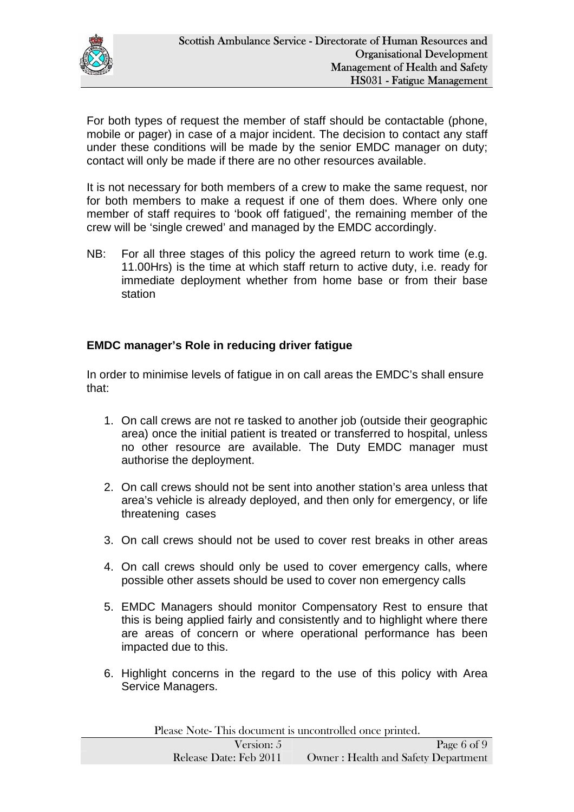

For both types of request the member of staff should be contactable (phone, mobile or pager) in case of a major incident. The decision to contact any staff under these conditions will be made by the senior EMDC manager on duty; contact will only be made if there are no other resources available.

It is not necessary for both members of a crew to make the same request, nor for both members to make a request if one of them does. Where only one member of staff requires to 'book off fatigued', the remaining member of the crew will be 'single crewed' and managed by the EMDC accordingly.

NB: For all three stages of this policy the agreed return to work time (e.g. 11.00Hrs) is the time at which staff return to active duty, i.e. ready for immediate deployment whether from home base or from their base station

#### **EMDC manager's Role in reducing driver fatigue**

In order to minimise levels of fatigue in on call areas the EMDC's shall ensure that:

- 1. On call crews are not re tasked to another job (outside their geographic area) once the initial patient is treated or transferred to hospital, unless no other resource are available. The Duty EMDC manager must authorise the deployment.
- 2. On call crews should not be sent into another station's area unless that area's vehicle is already deployed, and then only for emergency, or life threatening cases
- 3. On call crews should not be used to cover rest breaks in other areas
- 4. On call crews should only be used to cover emergency calls, where possible other assets should be used to cover non emergency calls
- 5. EMDC Managers should monitor Compensatory Rest to ensure that this is being applied fairly and consistently and to highlight where there are areas of concern or where operational performance has been impacted due to this.
- 6. Highlight concerns in the regard to the use of this policy with Area Service Managers.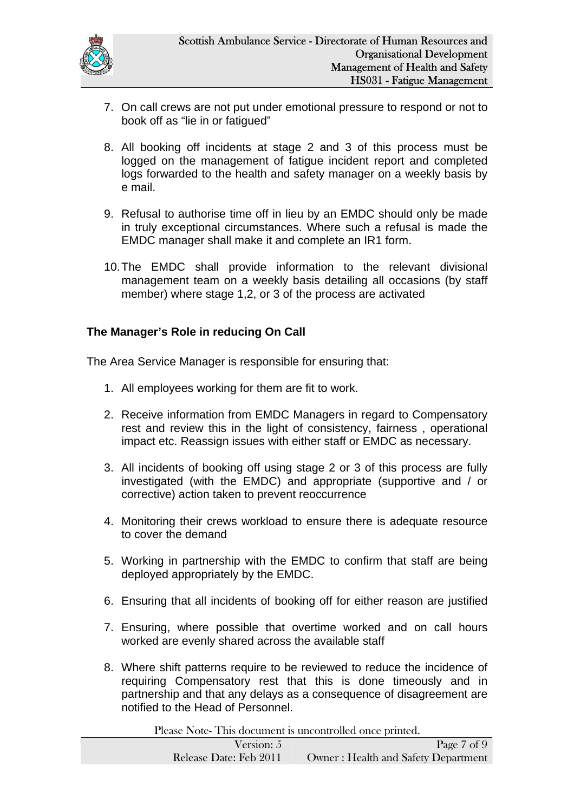

- 7. On call crews are not put under emotional pressure to respond or not to book off as "lie in or fatigued"
- 8. All booking off incidents at stage 2 and 3 of this process must be logged on the management of fatigue incident report and completed logs forwarded to the health and safety manager on a weekly basis by e mail.
- 9. Refusal to authorise time off in lieu by an EMDC should only be made in truly exceptional circumstances. Where such a refusal is made the EMDC manager shall make it and complete an IR1 form.
- 10. The EMDC shall provide information to the relevant divisional management team on a weekly basis detailing all occasions (by staff member) where stage 1,2, or 3 of the process are activated

## **The Manager's Role in reducing On Call**

The Area Service Manager is responsible for ensuring that:

- 1. All employees working for them are fit to work.
- 2. Receive information from EMDC Managers in regard to Compensatory rest and review this in the light of consistency, fairness , operational impact etc. Reassign issues with either staff or EMDC as necessary.
- 3. All incidents of booking off using stage 2 or 3 of this process are fully investigated (with the EMDC) and appropriate (supportive and / or corrective) action taken to prevent reoccurrence
- 4. Monitoring their crews workload to ensure there is adequate resource to cover the demand
- 5. Working in partnership with the EMDC to confirm that staff are being deployed appropriately by the EMDC.
- 6. Ensuring that all incidents of booking off for either reason are justified
- 7. Ensuring, where possible that overtime worked and on call hours worked are evenly shared across the available staff
- 8. Where shift patterns require to be reviewed to reduce the incidence of requiring Compensatory rest that this is done timeously and in partnership and that any delays as a consequence of disagreement are notified to the Head of Personnel.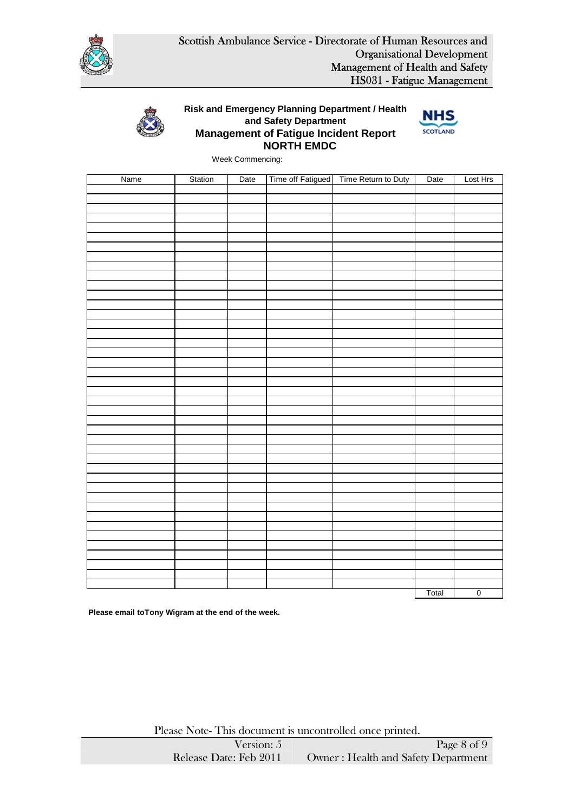



#### **NORTH EMDC Management of Fatigue Incident Report Risk and Emergency Planning Department / Health and Safety Department**



Week Commencing:

| Name | Station | Date | Time off Fatigued   Time Return to Duty | Date  | Lost Hrs       |
|------|---------|------|-----------------------------------------|-------|----------------|
|      |         |      |                                         |       |                |
|      |         |      |                                         |       |                |
|      |         |      |                                         |       |                |
|      |         |      |                                         |       |                |
|      |         |      |                                         |       |                |
|      |         |      |                                         |       |                |
|      |         |      |                                         |       |                |
|      |         |      |                                         |       |                |
|      |         |      |                                         |       |                |
|      |         |      |                                         |       |                |
|      |         |      |                                         |       |                |
|      |         |      |                                         |       |                |
|      |         |      |                                         |       |                |
|      |         |      |                                         |       |                |
|      |         |      |                                         |       |                |
|      |         |      |                                         |       |                |
|      |         |      |                                         |       |                |
|      |         |      |                                         |       |                |
|      |         |      |                                         |       |                |
|      |         |      |                                         |       |                |
|      |         |      |                                         |       |                |
|      |         |      |                                         |       |                |
|      |         |      |                                         |       |                |
|      |         |      |                                         |       |                |
|      |         |      |                                         |       |                |
|      |         |      |                                         |       |                |
|      |         |      |                                         |       |                |
|      |         |      |                                         |       |                |
|      |         |      |                                         |       |                |
|      |         |      |                                         |       |                |
|      |         |      |                                         |       |                |
|      |         |      |                                         |       |                |
|      |         |      |                                         |       |                |
|      |         |      |                                         |       |                |
|      |         |      |                                         |       |                |
|      |         |      |                                         |       |                |
|      |         |      |                                         |       |                |
|      |         |      |                                         |       |                |
|      |         |      |                                         |       |                |
|      |         |      |                                         |       |                |
|      |         |      |                                         |       |                |
|      |         |      |                                         | Total | $\overline{0}$ |

**Please email toTony Wigram at the end of the week.**